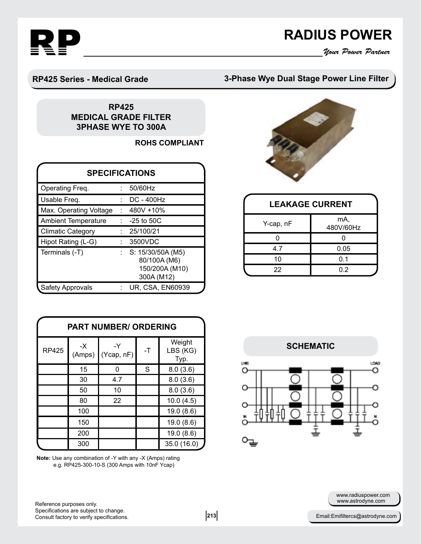

## **RADIUS POWER**<br>*Your Power Partner*

#### **RP425 Series - Medical Grade**

### **3-Phase Wye Dual Stage Power Line Filter**

#### **RP425 MEDICAL GRADE FILTER 3PHASE WYE TO 300A**

**ROHS COMPLIANT** 

| <b>SPECIFICATIONS</b>      |  |                                                                   |  |  |  |  |
|----------------------------|--|-------------------------------------------------------------------|--|--|--|--|
| Operating Freq.            |  | 50/60Hz                                                           |  |  |  |  |
| Usable Freq.               |  | <b>DC - 400Hz</b>                                                 |  |  |  |  |
| Max. Operating Voltage     |  | 480V +10%                                                         |  |  |  |  |
| <b>Ambient Temperature</b> |  | $-25$ to $50C$                                                    |  |  |  |  |
| <b>Climatic Category</b>   |  | 25/100/21                                                         |  |  |  |  |
| Hipot Rating (L-G)         |  | 3500VDC                                                           |  |  |  |  |
| Terminals (-T)             |  | S: 15/30/50A (M5)<br>80/100A (M6)<br>150/200A (M10)<br>300A (M12) |  |  |  |  |
| <b>Safety Approvals</b>    |  | <b>UR, CSA, EN60939</b>                                           |  |  |  |  |

| <b>PART NUMBER/ ORDERING</b> |                |                  |      |                            |  |  |  |
|------------------------------|----------------|------------------|------|----------------------------|--|--|--|
| <b>RP425</b>                 | $-X$<br>(Amps) | -Y<br>(Ycap, nF) | $-T$ | Weight<br>LBS (KG)<br>Typ. |  |  |  |
|                              | 15             | n                | S    | 8.0(3.6)                   |  |  |  |
|                              | 30             | 4.7              |      | 8.0(3.6)                   |  |  |  |
|                              | 50             | 10               |      | 8.0(3.6)                   |  |  |  |
|                              | 80             | 22               |      | 10.0(4.5)                  |  |  |  |
|                              | 100            |                  |      | 19.0(8.6)                  |  |  |  |
|                              | 150            |                  |      | 19.0(8.6)                  |  |  |  |
|                              | 200            |                  |      | 19.0(8.6)                  |  |  |  |
|                              | 300            |                  |      | 35.0 (16.0)                |  |  |  |

**Note:** Use any combination of -Y with any -X (Amps) rating e.g. RP425-300-10-S (300 Amps with 10nF Ycap)



| <b>LEAKAGE CURRENT</b> |                  |  |  |  |  |
|------------------------|------------------|--|--|--|--|
| Y-cap, nF              | mA,<br>480V/60Hz |  |  |  |  |
|                        |                  |  |  |  |  |
| 47                     | 0.05             |  |  |  |  |
|                        |                  |  |  |  |  |

22 0.2



www.astrodyne.com www.radiuspower.com

Reference purposes only. Specifications are subject to change. Consult factory to verify specifications. **Example 213** 213 **Email:Emifiltercs@astrodyne.com**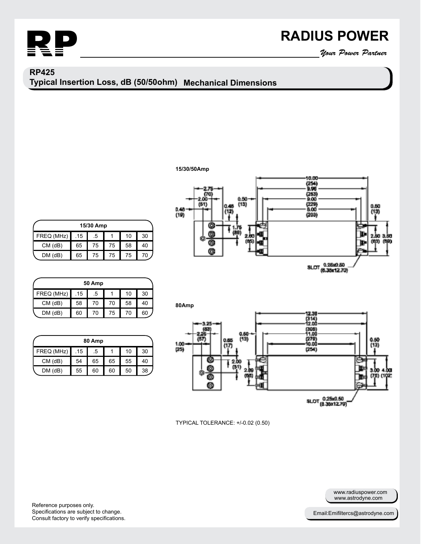

# **RADIUS POWER**<br>*Your Power Partner*

### **Mechanical Dimensions Typical Insertion Loss, dB (50/50ohm) RP425**

#### **15/30/50Amp**

| 15/30 Amp     |     |    |    |    |    |  |
|---------------|-----|----|----|----|----|--|
| FREQ (MHz)    | .15 | .5 |    | 10 | 30 |  |
| $CM$ ( $dB$ ) | 65  | 75 | 75 | 58 | 40 |  |
| $DM$ ( $dB$ ) | 65  | 75 | 75 | 75 | 70 |  |

| <b>50 Amp</b> |     |    |    |    |    |  |
|---------------|-----|----|----|----|----|--|
| FREQ (MHz)    | .15 | .5 |    | 10 | 30 |  |
| $CM$ ( $dB$ ) | 58  | 70 | 70 | 58 | 40 |  |
| $DM$ ( $dB$ ) | 60  | 70 | 75 | 70 | 60 |  |

| 80 Amp        |     |    |    |    |    |  |
|---------------|-----|----|----|----|----|--|
| FREQ (MHz)    | .15 | .5 |    | 10 | 30 |  |
| $CM$ ( $dB$ ) | 54  | 65 | 65 | 55 | 40 |  |
| $DM$ ( $dB$ ) | 55  | 60 | 60 | 50 | 38 |  |





TYPICAL TOLERANCE: +/-0.02 (0.50)

Reference purposes only. Specifications are subject to change. Consult factory to verify specifications.

www.astrodyne.com www.radiuspower.com

Email:Emifiltercs@astrodyne.com